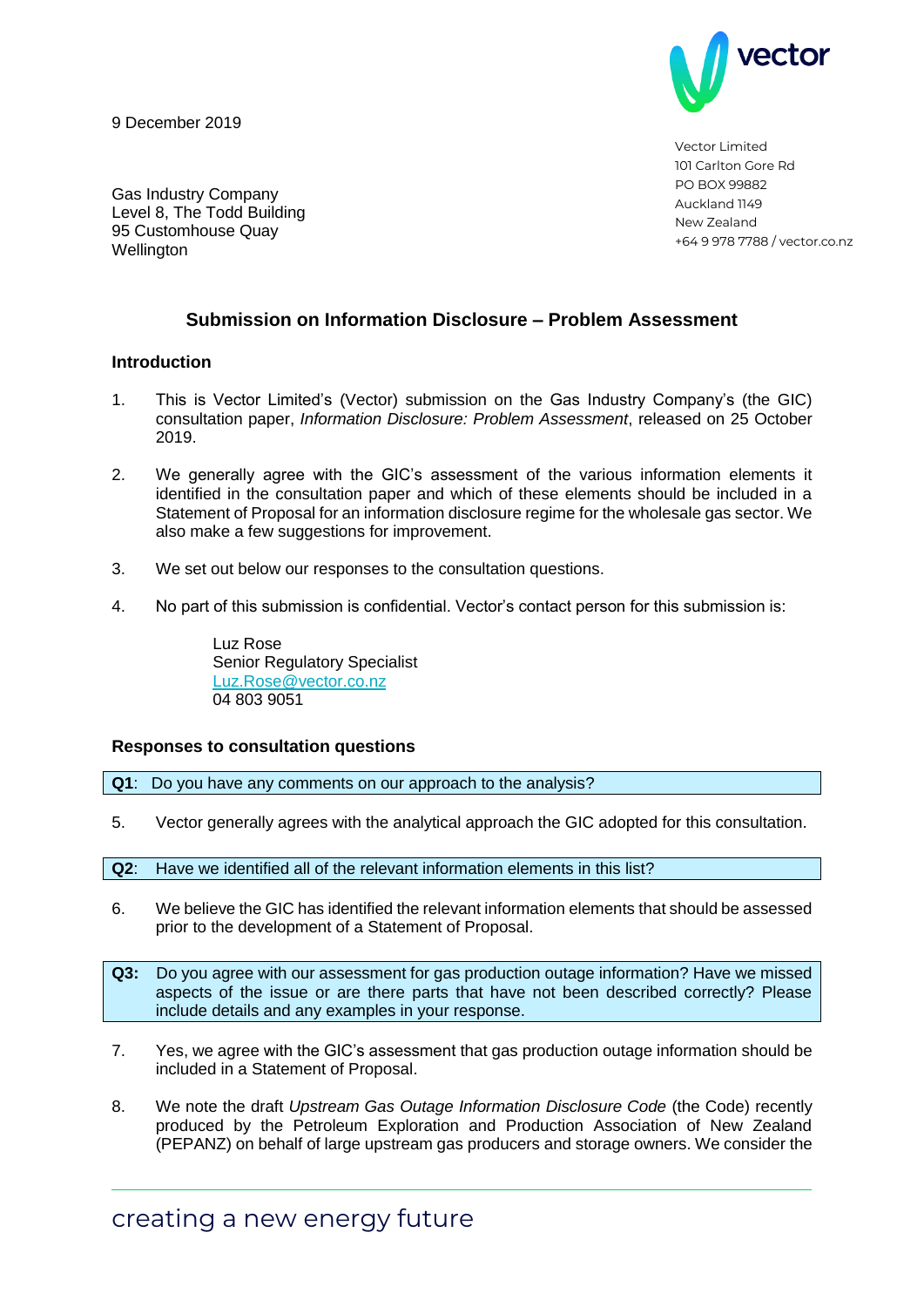9 December 2019



Vector Limited 101 Carlton Gore Rd PO BOX 99882 Auckland 1149 New Zealand +64 9 978 7788 / vector.co.nz

Gas Industry Company Level 8, The Todd Building 95 Customhouse Quay **Wellington** 

## **Submission on Information Disclosure – Problem Assessment**

## **Introduction**

- 1. This is Vector Limited's (Vector) submission on the Gas Industry Company's (the GIC) consultation paper, *Information Disclosure: Problem Assessment*, released on 25 October 2019.
- 2. We generally agree with the GIC's assessment of the various information elements it identified in the consultation paper and which of these elements should be included in a Statement of Proposal for an information disclosure regime for the wholesale gas sector. We also make a few suggestions for improvement.
- 3. We set out below our responses to the consultation questions.
- 4. No part of this submission is confidential. Vector's contact person for this submission is:

Luz Rose Senior Regulatory Specialist [Luz.Rose@vector.co.nz](mailto:Luz.Rose@vector.co.nz) 04 803 9051

## **Responses to consultation questions**

**Q1**: Do you have any comments on our approach to the analysis?

5. Vector generally agrees with the analytical approach the GIC adopted for this consultation.

**Q2**: Have we identified all of the relevant information elements in this list?

- 6. We believe the GIC has identified the relevant information elements that should be assessed prior to the development of a Statement of Proposal.
- **Q3:** Do you agree with our assessment for gas production outage information? Have we missed aspects of the issue or are there parts that have not been described correctly? Please include details and any examples in your response.
- 7. Yes, we agree with the GIC's assessment that gas production outage information should be included in a Statement of Proposal.
- 8. We note the draft *Upstream Gas Outage Information Disclosure Code* (the Code) recently produced by the Petroleum Exploration and Production Association of New Zealand (PEPANZ) on behalf of large upstream gas producers and storage owners. We consider the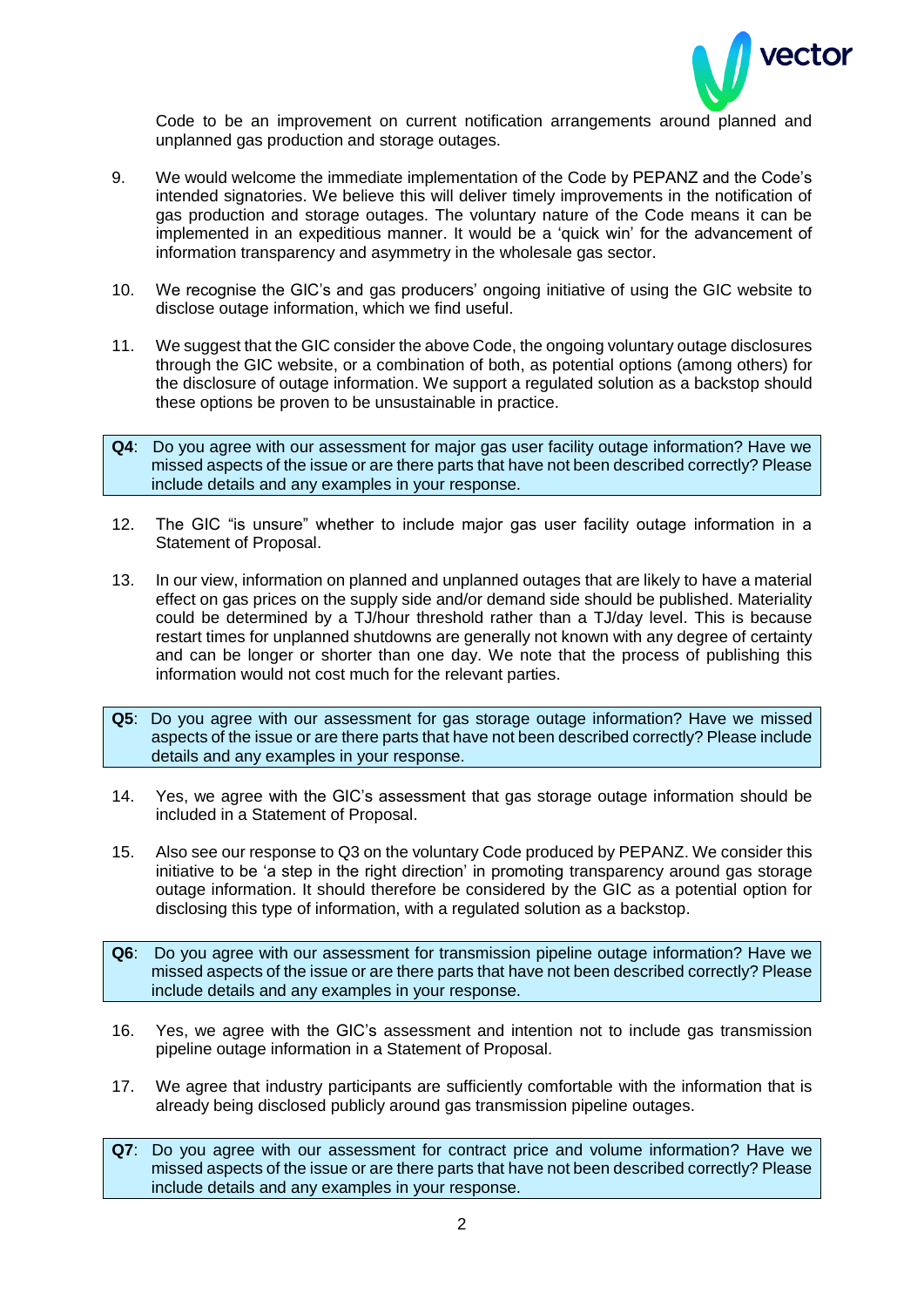

Code to be an improvement on current notification arrangements around planned and unplanned gas production and storage outages.

- 9. We would welcome the immediate implementation of the Code by PEPANZ and the Code's intended signatories. We believe this will deliver timely improvements in the notification of gas production and storage outages. The voluntary nature of the Code means it can be implemented in an expeditious manner. It would be a 'quick win' for the advancement of information transparency and asymmetry in the wholesale gas sector.
- 10. We recognise the GIC's and gas producers' ongoing initiative of using the GIC website to disclose outage information, which we find useful.
- 11. We suggest that the GIC consider the above Code, the ongoing voluntary outage disclosures through the GIC website, or a combination of both, as potential options (among others) for the disclosure of outage information. We support a regulated solution as a backstop should these options be proven to be unsustainable in practice.
- **Q4**: Do you agree with our assessment for major gas user facility outage information? Have we missed aspects of the issue or are there parts that have not been described correctly? Please include details and any examples in your response.
- 12. The GIC "is unsure" whether to include major gas user facility outage information in a Statement of Proposal.
- 13. In our view, information on planned and unplanned outages that are likely to have a material effect on gas prices on the supply side and/or demand side should be published. Materiality could be determined by a TJ/hour threshold rather than a TJ/day level. This is because restart times for unplanned shutdowns are generally not known with any degree of certainty and can be longer or shorter than one day. We note that the process of publishing this information would not cost much for the relevant parties.
- **Q5**: Do you agree with our assessment for gas storage outage information? Have we missed aspects of the issue or are there parts that have not been described correctly? Please include details and any examples in your response.
- 14. Yes, we agree with the GIC's assessment that gas storage outage information should be included in a Statement of Proposal.
- 15. Also see our response to Q3 on the voluntary Code produced by PEPANZ. We consider this initiative to be 'a step in the right direction' in promoting transparency around gas storage outage information. It should therefore be considered by the GIC as a potential option for disclosing this type of information, with a regulated solution as a backstop.
- **Q6**: Do you agree with our assessment for transmission pipeline outage information? Have we missed aspects of the issue or are there parts that have not been described correctly? Please include details and any examples in your response.
- 16. Yes, we agree with the GIC's assessment and intention not to include gas transmission pipeline outage information in a Statement of Proposal.
- 17. We agree that industry participants are sufficiently comfortable with the information that is already being disclosed publicly around gas transmission pipeline outages.
- **Q7**: Do you agree with our assessment for contract price and volume information? Have we missed aspects of the issue or are there parts that have not been described correctly? Please include details and any examples in your response.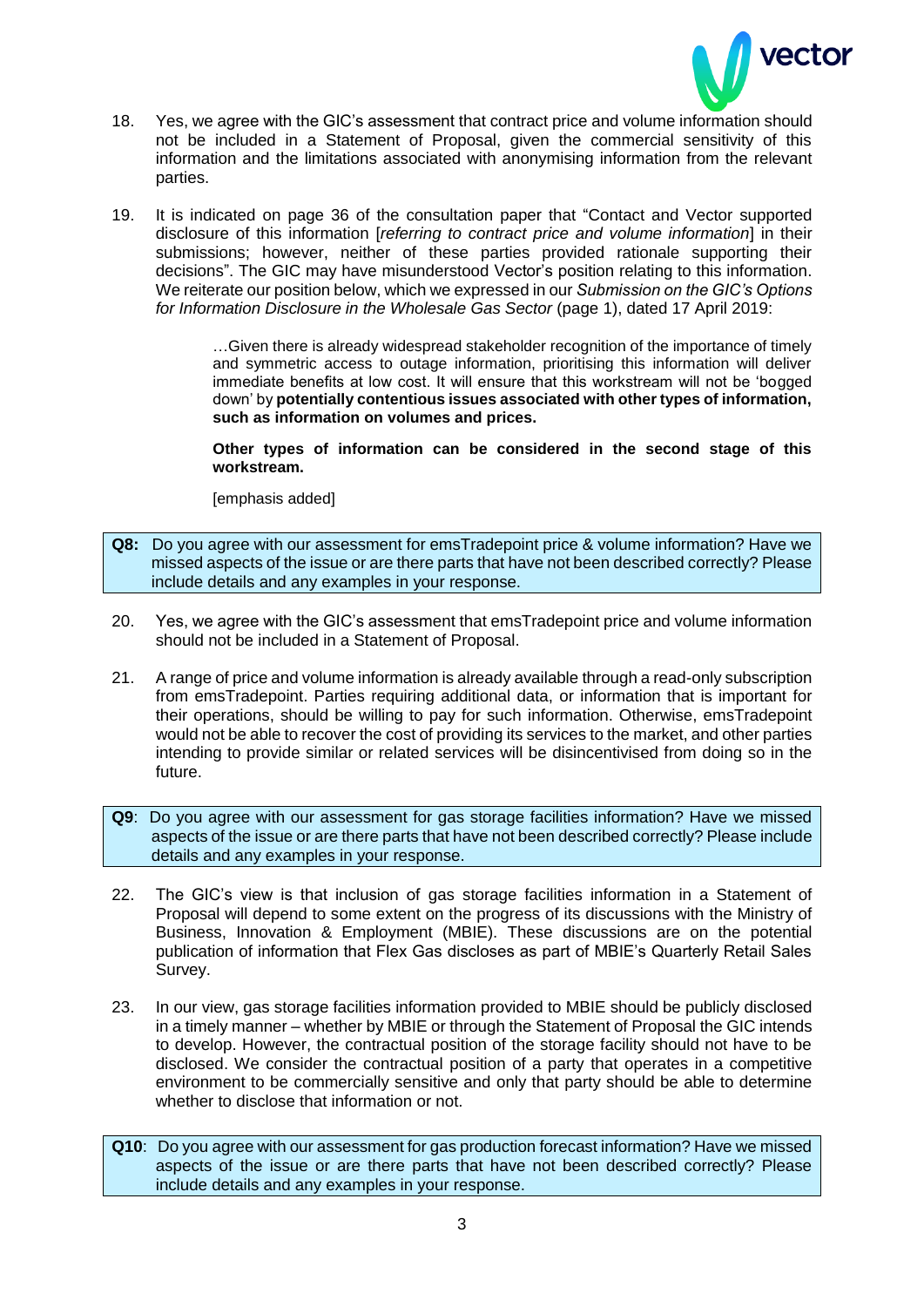

- 18. Yes, we agree with the GIC's assessment that contract price and volume information should not be included in a Statement of Proposal, given the commercial sensitivity of this information and the limitations associated with anonymising information from the relevant parties.
- 19. It is indicated on page 36 of the consultation paper that "Contact and Vector supported disclosure of this information [*referring to contract price and volume information*] in their submissions; however, neither of these parties provided rationale supporting their decisions". The GIC may have misunderstood Vector's position relating to this information. We reiterate our position below, which we expressed in our *Submission on the GIC's Options for Information Disclosure in the Wholesale Gas Sector* (page 1), dated 17 April 2019:

…Given there is already widespread stakeholder recognition of the importance of timely and symmetric access to outage information, prioritising this information will deliver immediate benefits at low cost. It will ensure that this workstream will not be 'bogged down' by **potentially contentious issues associated with other types of information, such as information on volumes and prices.** 

**Other types of information can be considered in the second stage of this workstream.**

[emphasis added]

- **Q8:** Do you agree with our assessment for emsTradepoint price & volume information? Have we missed aspects of the issue or are there parts that have not been described correctly? Please include details and any examples in your response.
- 20. Yes, we agree with the GIC's assessment that emsTradepoint price and volume information should not be included in a Statement of Proposal.
- 21. A range of price and volume information is already available through a read-only subscription from emsTradepoint. Parties requiring additional data, or information that is important for their operations, should be willing to pay for such information. Otherwise, emsTradepoint would not be able to recover the cost of providing its services to the market, and other parties intending to provide similar or related services will be disincentivised from doing so in the future.
- **Q9**: Do you agree with our assessment for gas storage facilities information? Have we missed aspects of the issue or are there parts that have not been described correctly? Please include details and any examples in your response.
- 22. The GIC's view is that inclusion of gas storage facilities information in a Statement of Proposal will depend to some extent on the progress of its discussions with the Ministry of Business, Innovation & Employment (MBIE). These discussions are on the potential publication of information that Flex Gas discloses as part of MBIE's Quarterly Retail Sales Survey.
- 23. In our view, gas storage facilities information provided to MBIE should be publicly disclosed in a timely manner – whether by MBIE or through the Statement of Proposal the GIC intends to develop. However, the contractual position of the storage facility should not have to be disclosed. We consider the contractual position of a party that operates in a competitive environment to be commercially sensitive and only that party should be able to determine whether to disclose that information or not.
- **Q10**: Do you agree with our assessment for gas production forecast information? Have we missed aspects of the issue or are there parts that have not been described correctly? Please include details and any examples in your response.